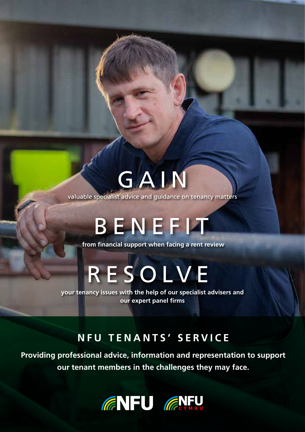# GAIN

valuable specialist advice and guidance on tenancy matters

# BENEFIT

**from financial support when facing a rent review**

# RESOLVE

**your tenancy issues with the help of our specialist advisers and our expert panel firms**

### **NFU TENANTS' SERVICE**

**Providing professional advice, information and representation to support our tenant members in the challenges they may face.**

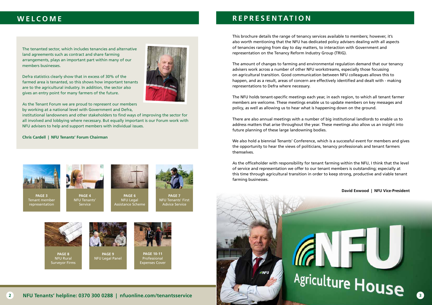

**PAGE 4** NFU Tenants' **Service** 



**PAGE 3** Tenant member representation



**PAGE 6** NFU Legal Assistance Scheme



**PAGE 7** NFU Tenants' First Advice Service



The tenanted sector, which includes tenancies and alternative land agreements such as contract and share farming arrangements, plays an important part within many of our members businesses.

Defra statistics clearly show that in excess of 30% of the farmed area is tenanted, so this shows how important tenants are to the agricultural industry. In addition, the sector also gives an entry point for many farmers of the future.



As the Tenant Forum we are proud to represent our members by working at a national level with Government and Defra,

institutional landowners and other stakeholders to find ways of improving the sector for all involved and lobbying where necessary. But equally important is our Forum work with NFU advisers to help and support members with individual issues.

#### **Chris Cardell | NFU Tenants' Forum Chairman**



**PAGE 8** NFU Rural Surveyor Firms



NFU Legal Panel



**PAGE 10-11** Professional Expenses Cover



### **WELCOME**

This brochure details the range of tenancy services available to members; however, it's also worth mentioning that the NFU has dedicated policy advisers dealing with all aspects of tenancies ranging from day to day matters, to interaction with Government and representation on the Tenancy Reform Industry Group (TRIG).

The amount of changes to farming and environmental regulation demand that our tenancy advisers work across a number of other NFU workstreams, especially those focussing on agricultural transition. Good communication between NFU colleagues allows this to happen, and as a result, areas of concern are effectively identified and dealt with - making representations to Defra where necessary.

The NFU holds tenant-specific meetings each year, in each region, to which all tenant farmer members are welcome. These meetings enable us to update members on key messages and policy, as well as allowing us to hear what is happening down on the ground.

There are also annual meetings with a number of big institutional landlords to enable us to address matters that arise throughout the year. These meetings also allow us an insight into future planning of these large landowning bodies.

We also hold a biennial Tenants' Conference, which is a successful event for members and gives the opportunity to hear the views of politicians, tenancy professionals and tenant farmers themselves.

As the officeholder with responsibility for tenant farming within the NFU, I think that the level of service and representation we offer to our tenant members is outstanding; especially at this time through agricultural transition in order to keep strong, productive and viable tenant farming businesses.



**David Exwood | NFU Vice-President**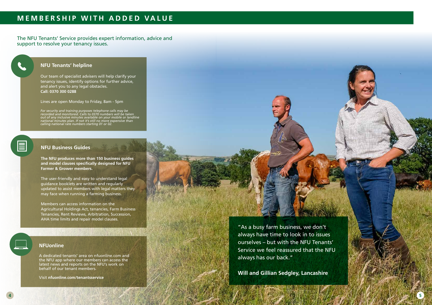### **MEMBERSHIP WITH ADDED VALUE**

The NFU Tenants' Service provides expert information, advice and support to resolve your tenancy issues.

#### **NFUonline**

A dedicated tenants' area on nfuonline.com and the NFU app where our members can access the latest news and reports on the NFU's work on behalf of our tenant members.

Visit **nfuonline.com/tenantsservice**

### **NFU Business Guides**

**The NFU produces more than 150 business guides and model clauses specifically designed for NFU Farmer & Grower members.**

The user-friendly and easy to understand legal guidance booklets are written and regularly updated to assist members with legal matters they may face when running a farming business.



Members can access information on the Agricultural Holdings Act, tenancies, Farm Business Tenancies, Rent Reviews, Arbitration, Succession, AHA time limits and repair model clauses.

### **NFU Tenants' helpline**

Our team of specialist advisers will help clarify your tenancy issues, identify options for further advice, and alert you to any legal obstacles. **Call: 0370 300 0288**

Lines are open Monday to Friday, 8am - 5pm

*For security and training purposes telephone calls may be recorded and monitored. Calls to 0370 numbers will be taken out of any inclusive minutes available on your mobile or landline national minutes plan. If not it's still no more expensive than calling national rate numbers starting 01 or 02.*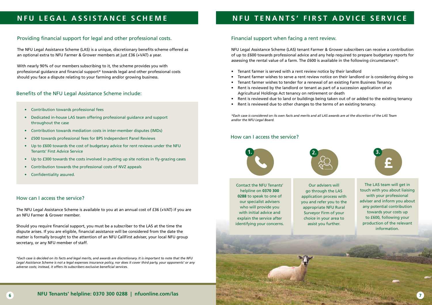## **NFU LEGAL ASSISTANCE SCHEME**

### Providing financial support for legal and other professional costs.

The NFU Legal Assistance Scheme (LAS) is a unique, discretionary benefits scheme offered as an optional extra to NFU Farmer & Grower members at just £36 (+VAT) a year.

With nearly 90% of our members subscribing to it, the scheme provides you with professional guidance and financial support\* towards legal and other professional costs should you face a dispute relating to your farming and/or growing business.

### Benefits of the NFU Legal Assistance Scheme include:

#### How can I access the service?

The NFU Legal Assistance Scheme is available to you at an annual cost of £36 (+VAT) if you are an NFU Farmer & Grower member.

Should you require financial support, you must be a subscriber to the LAS at the time the dispute arises. If you are eligible, financial assistance will be considered from the date the matter is formally brought to the attention of an NFU CallFirst adviser, your local NFU group secretary, or any NFU member of staff.

*\*Each case is decided on its facts and legal merits, and awards are discretionary. It is important to note that the NFU Legal Assistance Scheme is not a legal expenses insurance policy, nor does it cover third party, your opponents' or any adverse costs; instead, it offers its subscribers exclusive beneficial services.*

- Contribution towards professional fees
- Dedicated in-house LAS team offering professional guidance and support throughout the case
- Contribution towards mediation costs in inter-member disputes (IMDs)
- £500 towards professional fees for BPS Independent Panel Reviews
- Up to £600 towards the cost of budgetary advice for rent reviews under the NFU Tenants' First Advice Service
- Up to £300 towards the costs involved in putting up site notices in fly-grazing cases
- Contribution towards the professional costs of NVZ appeals
- Confidentiality assured.



## **NFU TENANTS' FIRST ADVICE SERVICE**

### Financial support when facing a rent review.

NFU Legal Assistance Scheme (LAS) tenant Farmer & Grower subscribers can receive a contribution of up to £600 towards professional advice and any help required to prepare budgetary reports for assessing the rental value of a farm. The £600 is available in the following circumstances\*:

- Tenant farmer is served with a rent review notice by their landlord
- Tenant farmer wishes to serve a rent review notice on their landlord or is considering doing so • Tenant farmer wishes to tender for a renewal of an existing Farm Business Tenancy
- 
- Rent is reviewed by the landlord or tenant as part of a succession application of an Agricultural Holdings Act tenancy on retirement or death
- Rent is reviewed due to land or buildings being taken out of or added to the existing tenancy • Rent is reviewed due to other changes to the terms of an existing tenancy.
- 

*\*Each case is considered on its own facts and merits and all LAS awards are at the discretion of the LAS Team and/or the NFU Legal Board.*

#### How can I access the service?



Contact the NFU Tenants' helpline on **0370 300 0288** to speak to one of our specialist advisers who will provide you with initial advice and explain the service after identifying your concerns.



Our advisers will go through the LAS application process with you and refer you to the appropriate NFU Rural Surveyor Firm of your choice in your area to assist you further.



The LAS team will get in touch with you about liaising with your professional adviser and inform you about any potential contribution towards your costs up to £600, following your production of the relevant information.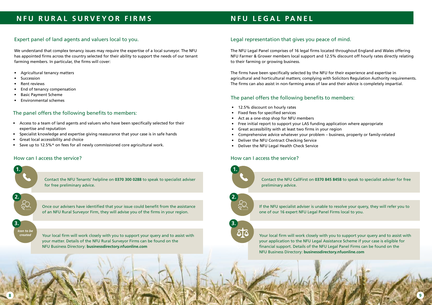## **NFU LEGAL PANEL**

### Legal representation that gives you peace of mind.

The NFU Legal Panel comprises of 16 legal firms located throughout England and Wales offering NFU Farmer & Grower members local support and 12.5% discount off hourly rates directly relating to their farming or growing business.

The firms have been specifically selected by the NFU for their experience and expertise in agricultural and horticultural matters; complying with Solicitors Regulation Authority requirements. The firms can also assist in non-farming areas of law and their advice is completely impartial.

### The panel offers the following benefits to members:

- 12.5% discount on hourly rates
- Fixed fees for specified services
- Act as a one-stop shop for NFU members
- Free initial report to support your LAS funding application where appropriate
- Great accessibility with at least two firms in your region
- Comprehensive advice whatever your problem business, property or family-related
- Deliver the NFU Contract Checking Service
- Deliver the NFU Legal Health Check Service

### **NFU RURAL SURVEYOR FIRMS**

### Expert panel of land agents and valuers local to you.

We understand that complex tenancy issues may require the expertise of a local surveyor. The NFU has appointed firms across the country selected for their ability to support the needs of our tenant farming members. In particular, the firms will cover:

- Agricultural tenancy matters
- **Succession**
- Rent reviews
- End of tenancy compensation
- Basic Payment Scheme
- Environmental schemes

*Icon to be created*

### The panel offers the following benefits to members:

- Access to a team of land agents and valuers who have been specifically selected for their expertise and reputation
- Specialist knowledge and expertise giving reassurance that your case is in safe hands
- Great local accessibility and choice
- Save up to 12.5%\* on fees for all newly commissioned core agricultural work.

**1. 1.**

Contact the NFU Tenants' helpline on **0370 300 0288** to speak to specialist adviser for free preliminary advice.

**1. 2.**

Once our advisers have identified that your issue could benefit from the assistance of an NFU Rural Surveyor Firm, they will advise you of the firms in your region.

**3.**

Your local firm will work closely with you to support your query and to assist with your matter. Details of the NFU Rural Surveyor Firms can be found on the NFU Business Directory: **businessdirectory.nfuonline.com**

### How can I access the service?





Contact the NFU CallFirst on **0370 845 8458** to speak to specialist adviser for free preliminary advice.



If the NFU specialist adviser is unable to resolve your query, they will refer you to one of our 16 expert NFU Legal Panel Firms local to you.

Your local firm will work closely with you to support your query and to assist with your application to the NFU Legal Assistance Scheme if your case is eligible for financial support. Details of the NFU Legal Panel Firms can be found on the NFU Business Directory: **businessdirectory.nfuonline.com**

#### How can I access the service?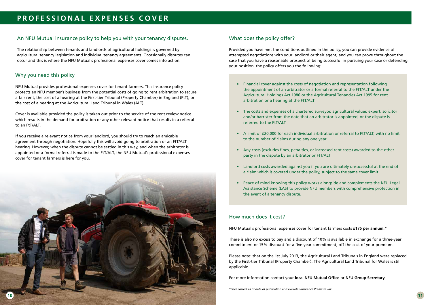### An NFU Mutual insurance policy to help you with your tenancy disputes.

The relationship between tenants and landlords of agricultural holdings is governed by agricultural tenancy legislation and individual tenancy agreements. Occasionally disputes can occur and this is where the NFU Mutual's professional expenses cover comes into action.

### Why you need this policy

NFU Mutual provides professional expenses cover for tenant farmers. This insurance policy protects an NFU member's business from the potential costs of going to rent arbitration to secure a fair rent, the cost of a hearing at the First-tier Tribunal (Property Chamber) in England (FtT), or the cost of a hearing at the Agricultural Land Tribunal in Wales (ALT).

Cover is available provided the policy is taken out prior to the service of the rent review notice which results in the demand for arbitration or any other relevant notice that results in a referral to an FtT/ALT.

If you receive a relevant notice from your landlord, you should try to reach an amicable agreement through negotiation. Hopefully this will avoid going to arbitration or an FtT/ALT hearing. However, when the dispute cannot be settled in this way, and when the arbitrator is appointed or a formal referral is made to the FtT/ALT, the NFU Mutual's professional expenses cover for tenant farmers is here for you.



### What does the policy offer?

Provided you have met the conditions outlined in the policy, you can provide evidence of attempted negotiations with your landlord or their agent, and you can prove throughout the case that you have a reasonable prospect of being successful in pursuing your case or defending your position, the policy offers you the following:

- Financial cover against the costs of negotiation and representation following the appointment of an arbitrator or a formal referral to the FtT/ALT under the Agricultural Holdings Act 1986 or the Agricultural Tenancies Act 1995 for rent arbitration or a hearing at the FtT/ALT
- The costs and expenses of a chartered surveyor, agricultural valuer, expert, solicitor and/or barrister from the date that an arbitrator is appointed, or the dispute is referred to the FtT/ALT
- A limit of £20,000 for each individual arbitration or referral to FtT/ALT, with no limit to the number of claims during any one year
- Any costs (excludes fines, penalties, or increased rent costs) awarded to the other party in the dispute by an arbitrator or FtT/ALT
- Landlord costs awarded against you if you are ultimately unsuccessful at the end of a claim which is covered under the policy, subject to the same cover limit
- Peace of mind knowing this policy works alongside and complements the NFU Legal Assistance Scheme (LAS) to provide NFU members with comprehensive protection in the event of a tenancy dispute.

### How much does it cost?

NFU Mutual's professional expenses cover for tenant farmers costs **£175 per annum.**\*

There is also no excess to pay and a discount of 10% is available in exchange for a three-year commitment or 15% discount for a five-year commitment, off the cost of your premium.

Please note: that on the 1st July 2013, the Agricultural Land Tribunals in England were replaced by the First-tier Tribunal (Property Chamber). The Agricultural Land Tribunal for Wales is still applicable.

For more information contact your **local NFU Mutual Office** or **NFU Group Secretary.**

*\*Price correct as of date of publication and excludes Insurance Premium Tax.*